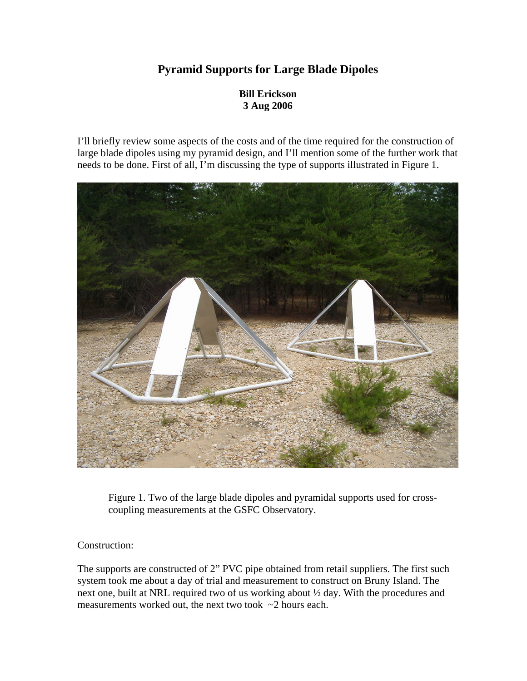## **Pyramid Supports for Large Blade Dipoles**

## **Bill Erickson 3 Aug 2006**

I'll briefly review some aspects of the costs and of the time required for the construction of large blade dipoles using my pyramid design, and I'll mention some of the further work that needs to be done. First of all, I'm discussing the type of supports illustrated in Figure 1.



Figure 1. Two of the large blade dipoles and pyramidal supports used for crosscoupling measurements at the GSFC Observatory.

Construction:

The supports are constructed of 2" PVC pipe obtained from retail suppliers. The first such system took me about a day of trial and measurement to construct on Bruny Island. The next one, built at NRL required two of us working about ½ day. With the procedures and measurements worked out, the next two took ~2 hours each.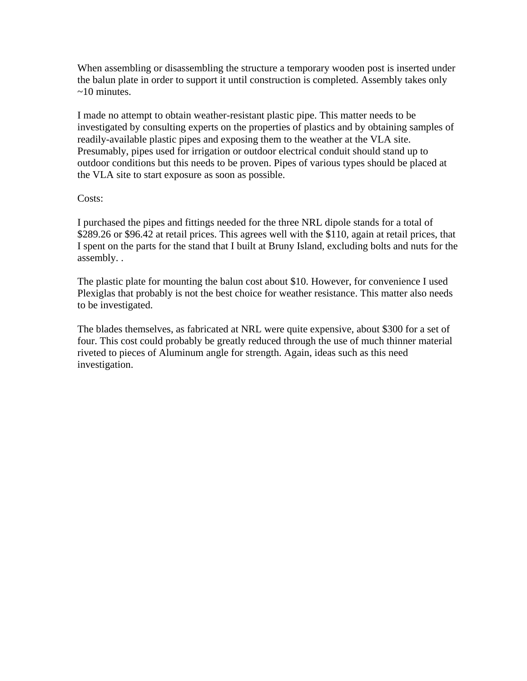When assembling or disassembling the structure a temporary wooden post is inserted under the balun plate in order to support it until construction is completed. Assembly takes only  $\sim$ 10 minutes.

I made no attempt to obtain weather-resistant plastic pipe. This matter needs to be investigated by consulting experts on the properties of plastics and by obtaining samples of readily-available plastic pipes and exposing them to the weather at the VLA site. Presumably, pipes used for irrigation or outdoor electrical conduit should stand up to outdoor conditions but this needs to be proven. Pipes of various types should be placed at the VLA site to start exposure as soon as possible.

## Costs:

I purchased the pipes and fittings needed for the three NRL dipole stands for a total of \$289.26 or \$96.42 at retail prices. This agrees well with the \$110, again at retail prices, that I spent on the parts for the stand that I built at Bruny Island, excluding bolts and nuts for the assembly. .

The plastic plate for mounting the balun cost about \$10. However, for convenience I used Plexiglas that probably is not the best choice for weather resistance. This matter also needs to be investigated.

The blades themselves, as fabricated at NRL were quite expensive, about \$300 for a set of four. This cost could probably be greatly reduced through the use of much thinner material riveted to pieces of Aluminum angle for strength. Again, ideas such as this need investigation.